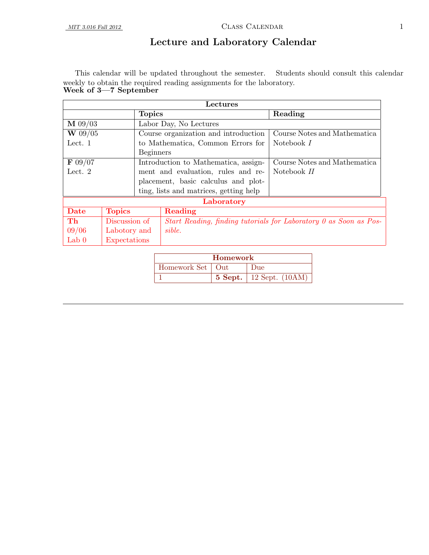# Lecture and Laboratory Calendar

This calendar will be updated throughout the semester. Students should consult this calendar weekly to obtain the required reading assignments for the laboratory. Week of 3<sup>-7</sup> September

|                    | Lectures      |                  |                                                                   |                              |  |  |  |
|--------------------|---------------|------------------|-------------------------------------------------------------------|------------------------------|--|--|--|
|                    |               | <b>Topics</b>    |                                                                   | Reading                      |  |  |  |
| $\mathbf{M}$ 09/03 |               |                  | Labor Day, No Lectures                                            |                              |  |  |  |
| $W$ 09/05          |               |                  | Course organization and introduction                              | Course Notes and Mathematica |  |  |  |
| Lect. 1            |               |                  | to Mathematica, Common Errors for                                 | Notebook I                   |  |  |  |
|                    |               | <b>Beginners</b> |                                                                   |                              |  |  |  |
| $\mathbf{F}$ 09/07 |               |                  | Introduction to Mathematica, assign-                              | Course Notes and Mathematica |  |  |  |
| Lect. $2$          |               |                  | ment and evaluation, rules and re-                                | Notebook II                  |  |  |  |
|                    |               |                  | placement, basic calculus and plot-                               |                              |  |  |  |
|                    |               |                  | ting, lists and matrices, getting help                            |                              |  |  |  |
|                    |               |                  | Laboratory                                                        |                              |  |  |  |
| Date               | <b>Topics</b> |                  | Reading                                                           |                              |  |  |  |
| Th                 | Discussion of |                  | Start Reading, finding tutorials for Laboratory 0 as Soon as Pos- |                              |  |  |  |
| 09/06              | Labotory and  |                  | sible.                                                            |                              |  |  |  |
| Lab $0$            | Expectations  |                  |                                                                   |                              |  |  |  |

| <b>Homework</b>               |  |                             |  |  |  |
|-------------------------------|--|-----------------------------|--|--|--|
| Homework Set   Out<br>$1)$ ue |  |                             |  |  |  |
|                               |  | 5 Sept.   12 Sept. $(10AM)$ |  |  |  |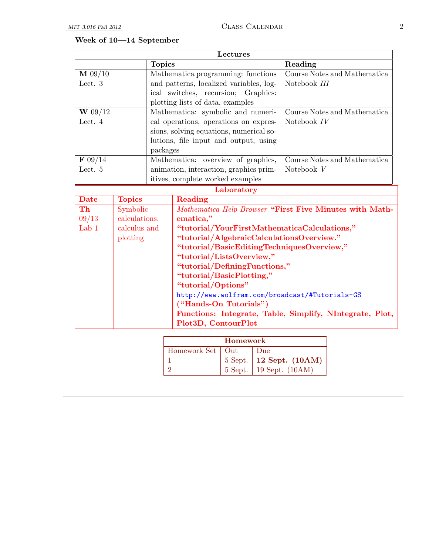# Week of 10—14 September

| Lectures             |               |               |                                                         |                                                          |  |  |
|----------------------|---------------|---------------|---------------------------------------------------------|----------------------------------------------------------|--|--|
|                      |               | <b>Topics</b> | Reading                                                 |                                                          |  |  |
| $\mathbf{M}$ 09/10   |               |               | Mathematica programming: functions                      | Course Notes and Mathematica                             |  |  |
| Lect. 3              |               |               | and patterns, localized variables, log-                 | Notebook III                                             |  |  |
|                      |               |               | ical switches, recursion; Graphics:                     |                                                          |  |  |
|                      |               |               | plotting lists of data, examples                        |                                                          |  |  |
| $\overline{W}$ 09/12 |               |               | Mathematica: symbolic and numeri-                       | Course Notes and Mathematica                             |  |  |
| Lect. 4              |               |               | cal operations, operations on expres-                   | Notebook IV                                              |  |  |
|                      |               |               | sions, solving equations, numerical so-                 |                                                          |  |  |
|                      |               |               | lutions, file input and output, using                   |                                                          |  |  |
|                      |               | packages      |                                                         |                                                          |  |  |
| F 09/14              |               |               | Mathematica: overview of graphics,                      | Course Notes and Mathematica                             |  |  |
| Lect. 5              |               |               | animation, interaction, graphics prim-                  | Notebook V                                               |  |  |
|                      |               |               | itives, complete worked examples                        |                                                          |  |  |
|                      |               |               | Laboratory                                              |                                                          |  |  |
| <b>Date</b>          | <b>Topics</b> |               | Reading                                                 |                                                          |  |  |
| Th                   | Symbolic      |               | Mathematica Help Browser "First Five Minutes with Math- |                                                          |  |  |
| 09/13                | calculations, |               | ematica,"                                               |                                                          |  |  |
| Lab 1                | calculus and  |               | "tutorial/YourFirstMathematicaCalculations,"            |                                                          |  |  |
|                      | plotting      |               | "tutorial/AlgebraicCalculationsOverview."               |                                                          |  |  |
|                      |               |               | "tutorial/BasicEditingTechniquesOverview,"              |                                                          |  |  |
|                      |               |               | "tutorial/ListsOverview,"                               |                                                          |  |  |
|                      |               |               | "tutorial/DefiningFunctions,"                           |                                                          |  |  |
|                      |               |               | "tutorial/BasicPlotting,"                               |                                                          |  |  |
|                      |               |               | "tutorial/Options"                                      |                                                          |  |  |
|                      |               |               | http://www.wolfram.com/broadcast/#Tutorials-GS          |                                                          |  |  |
|                      |               |               | ("Hands-On Tutorials")                                  |                                                          |  |  |
|                      |               |               |                                                         | Functions: Integrate, Table, Simplify, NIntegrate, Plot, |  |  |
|                      |               |               | Plot3D, ContourPlot                                     |                                                          |  |  |
|                      |               |               |                                                         |                                                          |  |  |

| Homework           |  |                                 |  |  |  |  |
|--------------------|--|---------------------------------|--|--|--|--|
| Homework Set   Out |  | Due                             |  |  |  |  |
|                    |  | 5 Sept. $\vert$ 12 Sept. (10AM) |  |  |  |  |
|                    |  | 5 Sept.   19 Sept. (10AM)       |  |  |  |  |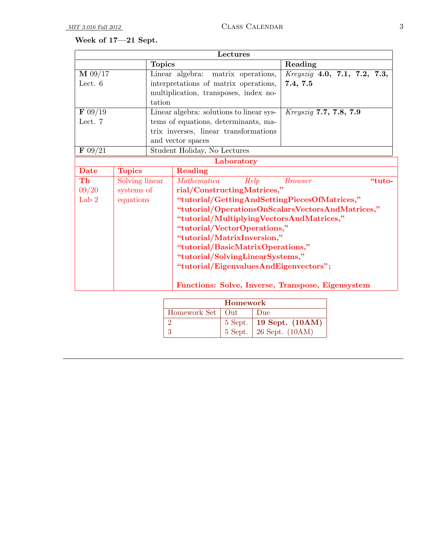# Week of 17—21 Sept.

| Lectures           |                |               |                                                   |                              |  |  |  |
|--------------------|----------------|---------------|---------------------------------------------------|------------------------------|--|--|--|
|                    |                | <b>Topics</b> |                                                   | Reading                      |  |  |  |
| $\mathbf{M}$ 09/17 |                |               | matrix operations,<br>Linear algebra:             | Kreyszig 4.0, 7.1, 7.2, 7.3, |  |  |  |
| Lect. $6$          |                |               | interpretations of matrix operations,             | 7.4, 7.5                     |  |  |  |
|                    |                |               | multiplication, transposes, index no-             |                              |  |  |  |
|                    |                | tation        |                                                   |                              |  |  |  |
| $\mathbf{F}$ 09/19 |                |               | Linear algebra: solutions to linear sys-          | Kreyszig 7.7, 7.8, 7.9       |  |  |  |
| Lect. 7            |                |               | tems of equations, determinants, ma-              |                              |  |  |  |
|                    |                |               | trix inverses, linear transformations             |                              |  |  |  |
|                    |                |               | and vector spaces                                 |                              |  |  |  |
| F 09/21            |                |               | Student Holiday, No Lectures                      |                              |  |  |  |
|                    |                |               | Laboratory                                        |                              |  |  |  |
| <b>Date</b>        | <b>Topics</b>  |               | <b>Reading</b>                                    |                              |  |  |  |
| Th                 | Solving linear |               | Help<br><b>Mathematica</b>                        | "tuto-<br><b>Browser</b>     |  |  |  |
| 09/20              | systems of     |               | rial/ConstructingMatrices,"                       |                              |  |  |  |
| Lab <sub>2</sub>   | equations      |               | "tutorial/GettingAndSettingPiecesOfMatrices,"     |                              |  |  |  |
|                    |                |               | "tutorial/OperationsOnScalarsVectorsAndMatrices," |                              |  |  |  |
|                    |                |               | "tutorial/MultiplyingVectorsAndMatrices,"         |                              |  |  |  |
|                    |                |               | "tutorial/VectorOperations,"                      |                              |  |  |  |
|                    |                |               | "tutorial/MatrixInversion,"                       |                              |  |  |  |
|                    |                |               | "tutorial/BasicMatrixOperations,"                 |                              |  |  |  |
|                    |                |               | "tutorial/SolvingLinearSystems,"                  |                              |  |  |  |
|                    |                |               | "tutorial/EigenvaluesAndEigenvectors";            |                              |  |  |  |
|                    |                |               | Functions: Solve, Inverse, Transpose, Eigensystem |                              |  |  |  |

| <b>Homework</b>    |  |                                 |  |  |  |  |
|--------------------|--|---------------------------------|--|--|--|--|
| Homework Set   Out |  | Due                             |  |  |  |  |
|                    |  | 5 Sept. $\vert$ 19 Sept. (10AM) |  |  |  |  |
|                    |  | 5 Sept. $\vert$ 26 Sept. (10AM) |  |  |  |  |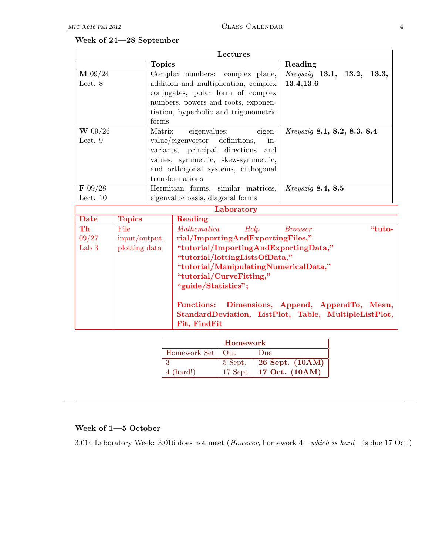# Week of 24—28 September

| Lectures                     |               |               |                                                       |                                      |  |  |
|------------------------------|---------------|---------------|-------------------------------------------------------|--------------------------------------|--|--|
|                              |               | <b>Topics</b> |                                                       | Reading                              |  |  |
| M 09/24                      |               |               | Complex numbers:<br>complex plane,                    | <i>Kreyszig</i> 13.1, 13.2,<br>13.3, |  |  |
| Lect. 8                      |               |               | addition and multiplication, complex                  | 13.4,13.6                            |  |  |
|                              |               |               | conjugates, polar form of complex                     |                                      |  |  |
|                              |               |               | numbers, powers and roots, exponen-                   |                                      |  |  |
|                              |               |               | tiation, hyperbolic and trigonometric                 |                                      |  |  |
|                              |               | forms         |                                                       |                                      |  |  |
| W 09/26                      |               | Matrix        | eigenvalues:<br>eigen-                                | <i>Kreysziq</i> 8.1, 8.2, 8.3, 8.4   |  |  |
| Lect. 9                      |               |               | value/eigenvector definitions,<br>in-                 |                                      |  |  |
|                              |               |               | variants, principal directions<br>and                 |                                      |  |  |
|                              |               |               | values, symmetric, skew-symmetric,                    |                                      |  |  |
|                              |               |               | and orthogonal systems, orthogonal                    |                                      |  |  |
|                              |               |               | transformations                                       |                                      |  |  |
| $\overline{\mathbf{F}$ 09/28 |               |               | Hermitian forms, similar matrices,                    | Kreyszig 8.4, 8.5                    |  |  |
| Lect. $10$                   |               |               | eigenvalue basis, diagonal forms                      |                                      |  |  |
|                              |               |               | Laboratory                                            |                                      |  |  |
| <b>Date</b>                  | <b>Topics</b> |               | Reading                                               |                                      |  |  |
| Th                           | File          |               | Help<br>Mathematica                                   | <b>Browser</b><br>"tuto-             |  |  |
| 09/27                        | input/output, |               | rial/ImportingAndExportingFiles,"                     |                                      |  |  |
| Lab $3$                      | plotting data |               | "tutorial/ImportingAndExportingData,"                 |                                      |  |  |
|                              |               |               | "tutorial/lottingListsOfData,"                        |                                      |  |  |
|                              |               |               | "tutorial/ManipulatingNumericalData,"                 |                                      |  |  |
|                              |               |               | "tutorial/CurveFitting,"                              |                                      |  |  |
|                              |               |               | "guide/Statistics";                                   |                                      |  |  |
|                              |               |               | Functions: Dimensions, Append, AppendTo, Mean,        |                                      |  |  |
|                              |               |               | StandardDeviation, ListPlot, Table, MultipleListPlot, |                                      |  |  |
|                              |               |               | Fit, FindFit                                          |                                      |  |  |
|                              |               |               |                                                       |                                      |  |  |

| <b>Homework</b>     |              |                         |  |  |  |
|---------------------|--------------|-------------------------|--|--|--|
| Homework Set        | $_{\rm Out}$ | Due                     |  |  |  |
|                     | 5 Sept.      | 26 Sept. (10AM)         |  |  |  |
| $4 \text{ (hard!)}$ |              | 17 Sept. 17 Oct. (10AM) |  |  |  |

#### Week of 1—5 October

3.014 Laboratory Week: 3.016 does not meet (However, homework 4—which is hard—is due 17 Oct.)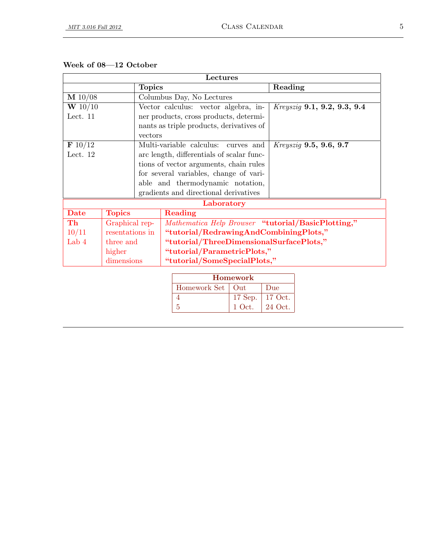| Lectures           |                 |         |                                                    |                 |         |                               |
|--------------------|-----------------|---------|----------------------------------------------------|-----------------|---------|-------------------------------|
|                    | <b>Topics</b>   |         |                                                    |                 |         | Reading                       |
| $\mathbf{M}$ 10/08 |                 |         | Columbus Day, No Lectures                          |                 |         |                               |
| W 10/10            |                 |         | Vector calculus: vector algebra, in-               |                 |         | Kreyszig 9.1, 9.2, 9.3, 9.4   |
| Lect. 11           |                 |         | ner products, cross products, determi-             |                 |         |                               |
|                    |                 |         | nants as triple products, derivatives of           |                 |         |                               |
|                    |                 | vectors |                                                    |                 |         |                               |
| $\mathbf{F}$ 10/12 |                 |         | Multi-variable calculus:                           | curves and      |         | <i>Kreyszig</i> 9.5, 9.6, 9.7 |
| Lect. $12$         |                 |         | arc length, differentials of scalar func-          |                 |         |                               |
|                    |                 |         | tions of vector arguments, chain rules             |                 |         |                               |
|                    |                 |         | for several variables, change of vari-             |                 |         |                               |
|                    |                 |         | able and thermodynamic notation,                   |                 |         |                               |
|                    |                 |         | gradients and directional derivatives              |                 |         |                               |
|                    |                 |         | Laboratory                                         |                 |         |                               |
| <b>Date</b>        | <b>Topics</b>   |         | Reading                                            |                 |         |                               |
| Th                 | Graphical rep-  |         | Mathematica Help Browser "tutorial/BasicPlotting," |                 |         |                               |
| 10/11              | resentations in |         | "tutorial/RedrawingAndCombiningPlots,"             |                 |         |                               |
| Lab 4              | three and       |         | "tutorial/ThreeDimensionalSurfacePlots,"           |                 |         |                               |
|                    | higher          |         | "tutorial/ParametricPlots,"                        |                 |         |                               |
| dimensions         |                 |         | "tutorial/SomeSpecialPlots,"                       |                 |         |                               |
|                    |                 |         |                                                    |                 |         |                               |
|                    |                 |         |                                                    | <b>Homework</b> |         |                               |
|                    |                 |         | Homework Set                                       | Out             | Due     |                               |
|                    |                 |         | $\overline{4}$                                     | 17 Sep.         | 17 Oct. |                               |
|                    |                 |         | $\overline{5}$                                     | 1 Oct.          | 24 Oct. |                               |

#### Week of 08—12 October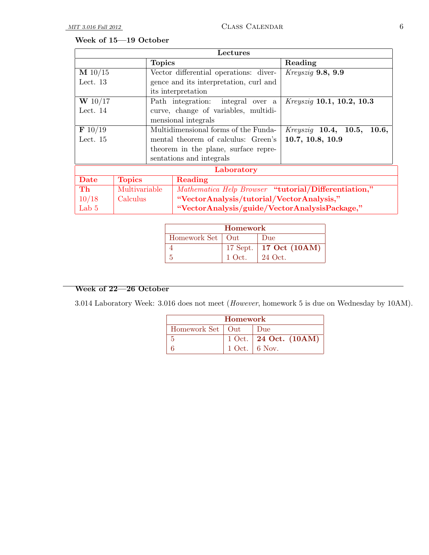## Week of 15—19 October

| Lectures       |                     |               |                                                      |                                        |  |  |
|----------------|---------------------|---------------|------------------------------------------------------|----------------------------------------|--|--|
|                |                     | <b>Topics</b> |                                                      | Reading                                |  |  |
| $M$ 10/15      |                     |               | Vector differential operations: diver-               | Kreyszig 9.8, 9.9                      |  |  |
| Lect. $13$     |                     |               | gence and its interpretation, curl and               |                                        |  |  |
|                |                     |               | its interpretation                                   |                                        |  |  |
| W 10/17        |                     |               | Path integration: integral over a                    | <i>Kreyszig</i> 10.1, 10.2, 10.3       |  |  |
| Lect. $14$     |                     |               | curve, change of variables, multidi-                 |                                        |  |  |
|                | mensional integrals |               |                                                      |                                        |  |  |
| $\bf{F}$ 10/19 |                     |               | Multidimensional forms of the Funda-                 | $Kreyszig$ <b>10.4, 10.5,</b><br>10.6, |  |  |
| Lect. $15$     |                     |               | mental theorem of calculus: Green's                  | 10.7, 10.8, 10.9                       |  |  |
|                |                     |               | theorem in the plane, surface repre-                 |                                        |  |  |
|                |                     |               | sentations and integrals                             |                                        |  |  |
|                |                     |               | Laboratory                                           |                                        |  |  |
| Date           | <b>Topics</b>       |               | Reading                                              |                                        |  |  |
| Th             | Multivariable       |               | Mathematica Help Browser "tutorial/Differentiation," |                                        |  |  |
| 10/18          | Calculus            |               | "VectorAnalysis/tutorial/VectorAnalysis,"            |                                        |  |  |
| Lab $5$        |                     |               | "VectorAnalysis/guide/VectorAnalysisPackage,"        |                                        |  |  |

| Homework           |        |                            |  |  |  |
|--------------------|--------|----------------------------|--|--|--|
| Homework Set   Out |        | Due                        |  |  |  |
|                    |        | 17 Sept.   17 Oct $(10AM)$ |  |  |  |
|                    | 1 Oct. | 24 Oct.                    |  |  |  |

#### Week of 22—26 October

3.014 Laboratory Week: 3.016 does not meet (However, homework 5 is due on Wednesday by 10AM).

| Homework           |  |                           |  |  |  |  |
|--------------------|--|---------------------------|--|--|--|--|
| Homework Set   Out |  | Due                       |  |  |  |  |
|                    |  | 1 Oct.   24 Oct. $(10AM)$ |  |  |  |  |
|                    |  | $1$ Oct. $\vert$ 6 Nov.   |  |  |  |  |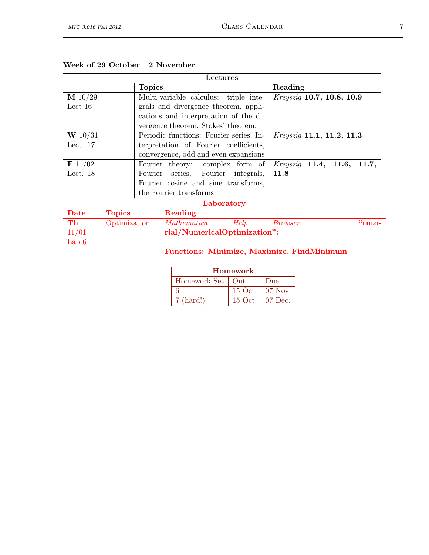| Lectures         |               |                                 |                                         |            |                                                   |
|------------------|---------------|---------------------------------|-----------------------------------------|------------|---------------------------------------------------|
|                  |               | <b>Topics</b>                   |                                         |            | Reading                                           |
| M 10/29          |               |                                 | Multi-variable calculus: triple inte-   |            | Kreyszig 10.7, 10.8, 10.9                         |
| Lect $16$        |               |                                 | grals and divergence theorem, appli-    |            |                                                   |
|                  |               |                                 | cations and interpretation of the di-   |            |                                                   |
|                  |               |                                 | vergence theorem, Stokes' theorem.      |            |                                                   |
| <b>W</b> $10/31$ |               |                                 | Periodic functions: Fourier series, In- |            | Kreyszig 11.1, 11.2, 11.3                         |
| Lect. $17$       |               |                                 | terpretation of Fourier coefficients,   |            |                                                   |
|                  |               |                                 | convergence, odd and even expansions    |            |                                                   |
| F 11/02          |               | Fourier theory: complex form of |                                         |            | $Kreyszig$ 11.4, 11.6,<br>11.7,                   |
| Lect. $18$       |               |                                 | Fourier series, Fourier integrals,      |            | 11.8                                              |
|                  |               |                                 | Fourier cosine and sine transforms,     |            |                                                   |
|                  |               |                                 | the Fourier transforms                  |            |                                                   |
|                  |               |                                 |                                         | Laboratory |                                                   |
| Date             | <b>Topics</b> |                                 | Reading                                 |            |                                                   |
| Th               | Optimization  |                                 | Mathematica Help                        |            | "tuto-<br>Brouser                                 |
| 11/01            |               |                                 | rial/NumericalOptimization";            |            |                                                   |
| Lab $6$          |               |                                 |                                         |            |                                                   |
|                  |               |                                 |                                         |            | <b>Functions: Minimize, Maximize, FindMinimum</b> |

|  |  |  |  | Week of 29 October-2 November |
|--|--|--|--|-------------------------------|
|--|--|--|--|-------------------------------|

| Homework            |  |                   |  |  |  |
|---------------------|--|-------------------|--|--|--|
| Homework Set   Out  |  | Due               |  |  |  |
|                     |  | 15 Oct.   07 Nov. |  |  |  |
| $7 \text{ (hard!)}$ |  | 15 Oct.   07 Dec. |  |  |  |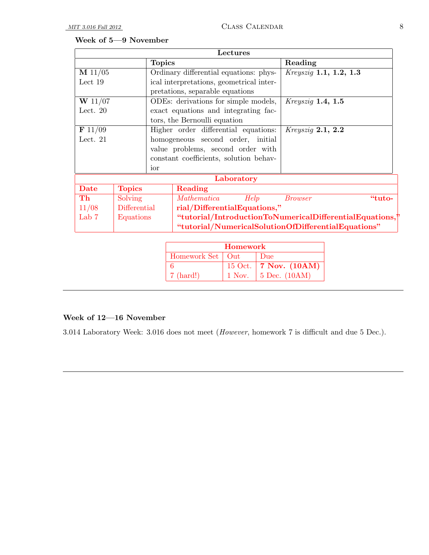### Week of 5—9 November

| Lectures               |               |                                      |                                                     |                                                          |                               |        |
|------------------------|---------------|--------------------------------------|-----------------------------------------------------|----------------------------------------------------------|-------------------------------|--------|
|                        |               | <b>Topics</b>                        |                                                     |                                                          | Reading                       |        |
| M 11/05                |               |                                      | Ordinary differential equations: phys-              |                                                          | <i>Kreyszig</i> 1.1, 1.2, 1.3 |        |
| Lect $19$              |               |                                      | ical interpretations, geometrical inter-            |                                                          |                               |        |
|                        |               |                                      | pretations, separable equations                     |                                                          |                               |        |
| $W$ 11/07              |               |                                      | ODEs: derivations for simple models,                |                                                          | $Kreyszig$ 1.4, 1.5           |        |
| Lect. $20$             |               |                                      | exact equations and integrating fac-                |                                                          |                               |        |
|                        |               |                                      | tors, the Bernoulli equation                        |                                                          |                               |        |
| $\bf{F}$ 11/09         |               | Higher order differential equations: |                                                     |                                                          | $Kreyszig$ 2.1, 2.2           |        |
| Lect. $21$             |               |                                      | homogeneous second order, initial                   |                                                          |                               |        |
|                        |               |                                      | value problems, second order with                   |                                                          |                               |        |
|                        |               |                                      | constant coefficients, solution behav-              |                                                          |                               |        |
| ior                    |               |                                      |                                                     |                                                          |                               |        |
|                        |               |                                      |                                                     | Laboratory                                               |                               |        |
| <b>Date</b>            | <b>Topics</b> |                                      | Reading                                             |                                                          |                               |        |
| $\mathbf{T}\mathbf{h}$ | Solving       |                                      | Mathematica                                         | Help                                                     | <i>Browser</i>                | "tuto- |
| 11/08                  | Differential  |                                      | rial/DifferentialEquations,"                        |                                                          |                               |        |
| Lab <sub>7</sub>       | Equations     |                                      |                                                     | "tutorial/IntroductionToNumericalDifferentialEquations," |                               |        |
|                        |               |                                      | "tutorial/NumericalSolutionOfDifferentialEquations" |                                                          |                               |        |

| <b>Homework</b>     |  |                              |  |  |  |
|---------------------|--|------------------------------|--|--|--|
| Homework Set   Out  |  | Due                          |  |  |  |
|                     |  | 15 Oct.   7 Nov. $(10AM)$    |  |  |  |
| $7 \text{ (hard!)}$ |  | 1 Nov. $\vert$ 5 Dec. (10AM) |  |  |  |

### Week of 12—16 November

3.014 Laboratory Week: 3.016 does not meet (However, homework 7 is difficult and due 5 Dec.).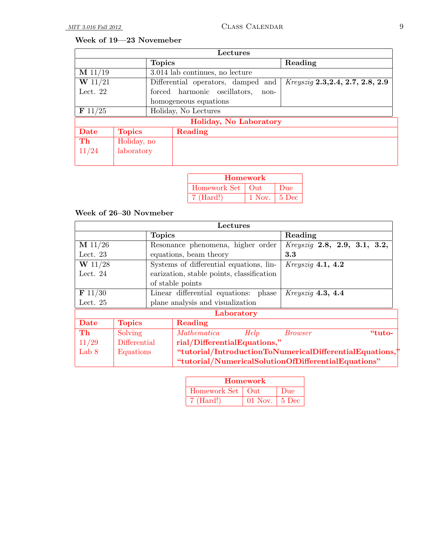### Week of 19—23 Novemeber

|                       | Lectures                      |                                      |                                    |                                  |  |  |
|-----------------------|-------------------------------|--------------------------------------|------------------------------------|----------------------------------|--|--|
|                       |                               | <b>Topics</b>                        |                                    | Reading                          |  |  |
| M 11/19               |                               |                                      | 3.014 lab continues, no lecture    |                                  |  |  |
| W 11/21               |                               |                                      | Differential operators, damped and | Kreyszig 2.3, 2.4, 2.7, 2.8, 2.9 |  |  |
| Lect. $22$            |                               | forced harmonic oscillators,<br>non- |                                    |                                  |  |  |
| homogeneous equations |                               |                                      |                                    |                                  |  |  |
| $\bf{F}$ 11/25        | Holiday, No Lectures          |                                      |                                    |                                  |  |  |
|                       | <b>Holiday, No Laboratory</b> |                                      |                                    |                                  |  |  |
| Date                  | <b>Topics</b>                 | Reading                              |                                    |                                  |  |  |
| Th                    | Holiday, no                   |                                      |                                    |                                  |  |  |
| 11/24                 | laboratory                    |                                      |                                    |                                  |  |  |
|                       |                               |                                      |                                    |                                  |  |  |

| <b>Homework</b>     |                |     |  |  |  |
|---------------------|----------------|-----|--|--|--|
| Homework Set   Out  |                | Due |  |  |  |
| $7 \text{ (Hard!)}$ | 1 Nov.   5 Dec |     |  |  |  |

### Week of 26–30 Novmeber

| Lectures       |                                                                       |                                      |                                                     |                     |                                     |  |
|----------------|-----------------------------------------------------------------------|--------------------------------------|-----------------------------------------------------|---------------------|-------------------------------------|--|
|                |                                                                       | <b>Topics</b>                        |                                                     |                     | Reading                             |  |
| M 11/26        |                                                                       |                                      | Resonance phenomena, higher order                   |                     | <i>Kreysziq</i> 2.8, 2.9, 3.1, 3.2, |  |
| Lect. $23$     |                                                                       |                                      | equations, beam theory                              |                     | 3.3                                 |  |
| $W$ 11/28      |                                                                       |                                      | Systems of differential equations, lin-             |                     | Kreyszig 4.1, 4.2                   |  |
| Lect. $24$     |                                                                       |                                      | earization, stable points, classification           |                     |                                     |  |
|                |                                                                       | of stable points                     |                                                     |                     |                                     |  |
| $\bf{F}$ 11/30 |                                                                       | Linear differential equations: phase |                                                     | $Kreyszig$ 4.3, 4.4 |                                     |  |
| Lect. $25$     |                                                                       | plane analysis and visualization     |                                                     |                     |                                     |  |
|                | Laboratory                                                            |                                      |                                                     |                     |                                     |  |
| Date           | <b>Topics</b>                                                         |                                      | Reading                                             |                     |                                     |  |
| Th             | Solving                                                               |                                      | Mathematica                                         | Help                | "tuto-<br><i>Browser</i>            |  |
| 11/29          | rial/DifferentialEquations,"<br>Differential                          |                                      |                                                     |                     |                                     |  |
| Lab 8          | "tutorial/IntroductionToNumericalDifferentialEquations,"<br>Equations |                                      |                                                     |                     |                                     |  |
|                |                                                                       |                                      | "tutorial/NumericalSolutionOfDifferentialEquations" |                     |                                     |  |

| <b>Homework</b>     |                               |     |  |  |  |
|---------------------|-------------------------------|-----|--|--|--|
| Homework Set   Out  |                               | Due |  |  |  |
| $7 \text{ (Hard!)}$ | 01 Nov. $\vert 5 \text{ Dec}$ |     |  |  |  |